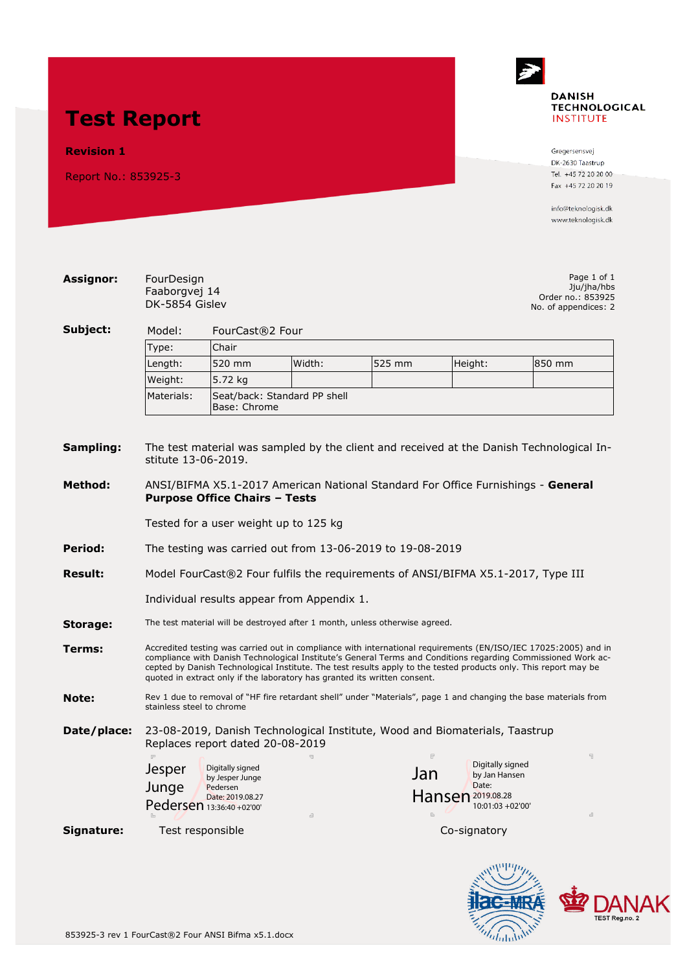# **Test Report**

#### **Revision 1**

Report No.: 853925-3



Gregersensvej DK-2630 Taastrup Tel. +45 72 20 20 00 Fax +45 72 20 20 19

info@teknologisk.dk www.teknologisk.dk

DANAK

ac

The Colombia

**EMRA** 

| <b>Assignor:</b> | FourDesign<br>Faaborgvej 14<br>DK-5854 Gislev                                                                                                                                                                                                                                                                                                                                                                                     |                                               |        |              |                                                  | Page 1 of 1<br>Jju/jha/hbs<br>Order no.: 853925<br>No. of appendices: 2 |  |  |
|------------------|-----------------------------------------------------------------------------------------------------------------------------------------------------------------------------------------------------------------------------------------------------------------------------------------------------------------------------------------------------------------------------------------------------------------------------------|-----------------------------------------------|--------|--------------|--------------------------------------------------|-------------------------------------------------------------------------|--|--|
| Subject:         | Model:<br>FourCast®2 Four                                                                                                                                                                                                                                                                                                                                                                                                         |                                               |        |              |                                                  |                                                                         |  |  |
|                  | Type:<br>Chair                                                                                                                                                                                                                                                                                                                                                                                                                    |                                               |        |              |                                                  |                                                                         |  |  |
|                  | Length:                                                                                                                                                                                                                                                                                                                                                                                                                           | 520 mm                                        | Width: | 525 mm       | Height:                                          | 850 mm                                                                  |  |  |
|                  | Weight:                                                                                                                                                                                                                                                                                                                                                                                                                           | 5.72 kg                                       |        |              |                                                  |                                                                         |  |  |
|                  | Materials:                                                                                                                                                                                                                                                                                                                                                                                                                        | Seat/back: Standard PP shell<br>Base: Chrome  |        |              |                                                  |                                                                         |  |  |
| Sampling:        | The test material was sampled by the client and received at the Danish Technological In-<br>stitute 13-06-2019.                                                                                                                                                                                                                                                                                                                   |                                               |        |              |                                                  |                                                                         |  |  |
| Method:          | ANSI/BIFMA X5.1-2017 American National Standard For Office Furnishings - General<br><b>Purpose Office Chairs - Tests</b>                                                                                                                                                                                                                                                                                                          |                                               |        |              |                                                  |                                                                         |  |  |
|                  |                                                                                                                                                                                                                                                                                                                                                                                                                                   |                                               |        |              |                                                  |                                                                         |  |  |
|                  | Tested for a user weight up to 125 kg                                                                                                                                                                                                                                                                                                                                                                                             |                                               |        |              |                                                  |                                                                         |  |  |
| Period:          | The testing was carried out from 13-06-2019 to 19-08-2019                                                                                                                                                                                                                                                                                                                                                                         |                                               |        |              |                                                  |                                                                         |  |  |
| <b>Result:</b>   | Model FourCast®2 Four fulfils the requirements of ANSI/BIFMA X5.1-2017, Type III                                                                                                                                                                                                                                                                                                                                                  |                                               |        |              |                                                  |                                                                         |  |  |
|                  | Individual results appear from Appendix 1.                                                                                                                                                                                                                                                                                                                                                                                        |                                               |        |              |                                                  |                                                                         |  |  |
| Storage:         | The test material will be destroyed after 1 month, unless otherwise agreed.                                                                                                                                                                                                                                                                                                                                                       |                                               |        |              |                                                  |                                                                         |  |  |
| Terms:           | Accredited testing was carried out in compliance with international requirements (EN/ISO/IEC 17025:2005) and in<br>compliance with Danish Technological Institute's General Terms and Conditions regarding Commissioned Work ac-<br>cepted by Danish Technological Institute. The test results apply to the tested products only. This report may be<br>quoted in extract only if the laboratory has granted its written consent. |                                               |        |              |                                                  |                                                                         |  |  |
| Note:            | Rev 1 due to removal of "HF fire retardant shell" under "Materials", page 1 and changing the base materials from<br>stainless steel to chrome                                                                                                                                                                                                                                                                                     |                                               |        |              |                                                  |                                                                         |  |  |
| Date/place:      | 23-08-2019, Danish Technological Institute, Wood and Biomaterials, Taastrup<br>Replaces report dated 20-08-2019                                                                                                                                                                                                                                                                                                                   |                                               |        |              |                                                  |                                                                         |  |  |
|                  | <b>Jesper</b>                                                                                                                                                                                                                                                                                                                                                                                                                     | Digitally signed<br>by Jesper Junge           |        | Jan          | Digitally signed<br>by Jan Hansen                |                                                                         |  |  |
|                  | Junge                                                                                                                                                                                                                                                                                                                                                                                                                             | Pedersen                                      |        |              | Date:                                            |                                                                         |  |  |
|                  |                                                                                                                                                                                                                                                                                                                                                                                                                                   | Date: 2019.08.27<br>Pedersen 13:36:40 +02'00' |        |              | Hansen <sup>2019.08.28</sup><br>10:01:03 +02'00' |                                                                         |  |  |
| Signature:       | Test responsible                                                                                                                                                                                                                                                                                                                                                                                                                  |                                               |        | Co-signatory |                                                  |                                                                         |  |  |
|                  |                                                                                                                                                                                                                                                                                                                                                                                                                                   |                                               |        |              | $\ldots$ $\ldots$                                |                                                                         |  |  |

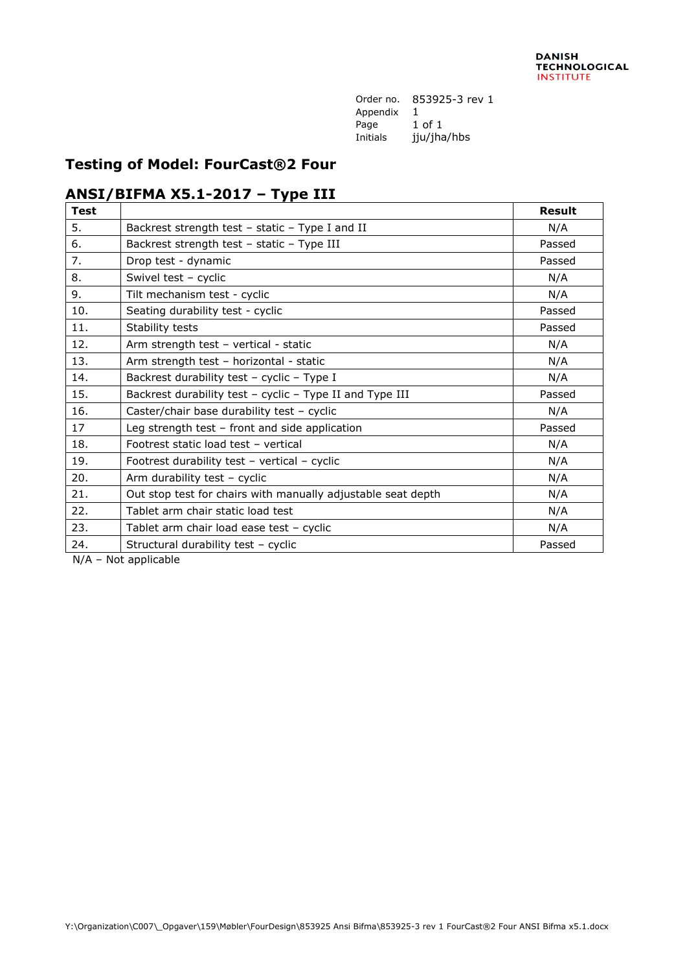Order no. 853925-3 rev 1 Appendix 1 Page 1 of 1 Initials jju/jha/hbs

#### **Testing of Model: FourCast®2 Four**

### **ANSI/BIFMA X5.1-2017 – Type III**

| <b>Test</b> |                                                              | <b>Result</b> |
|-------------|--------------------------------------------------------------|---------------|
| 5.          | Backrest strength test - static - Type I and II              | N/A           |
| 6.          | Backrest strength test - static - Type III                   | Passed        |
| 7.          | Drop test - dynamic                                          | Passed        |
| 8.          | Swivel test - cyclic                                         | N/A           |
| 9.          | Tilt mechanism test - cyclic                                 | N/A           |
| 10.         | Seating durability test - cyclic                             | Passed        |
| 11.         | Stability tests                                              | Passed        |
| 12.         | Arm strength test - vertical - static                        | N/A           |
| 13.         | Arm strength test - horizontal - static                      | N/A           |
| 14.         | Backrest durability test - cyclic - Type I                   | N/A           |
| 15.         | Backrest durability test - cyclic - Type II and Type III     | Passed        |
| 16.         | Caster/chair base durability test - cyclic                   | N/A           |
| 17          | Leg strength test $-$ front and side application             | Passed        |
| 18.         | Footrest static load test - vertical                         | N/A           |
| 19.         | Footrest durability test - vertical - cyclic                 | N/A           |
| 20.         | Arm durability test - cyclic                                 | N/A           |
| 21.         | Out stop test for chairs with manually adjustable seat depth | N/A           |
| 22.         | Tablet arm chair static load test                            | N/A           |
| 23.         | Tablet arm chair load ease test - cyclic                     | N/A           |
| 24.         | Structural durability test - cyclic                          | Passed        |

N/A – Not applicable